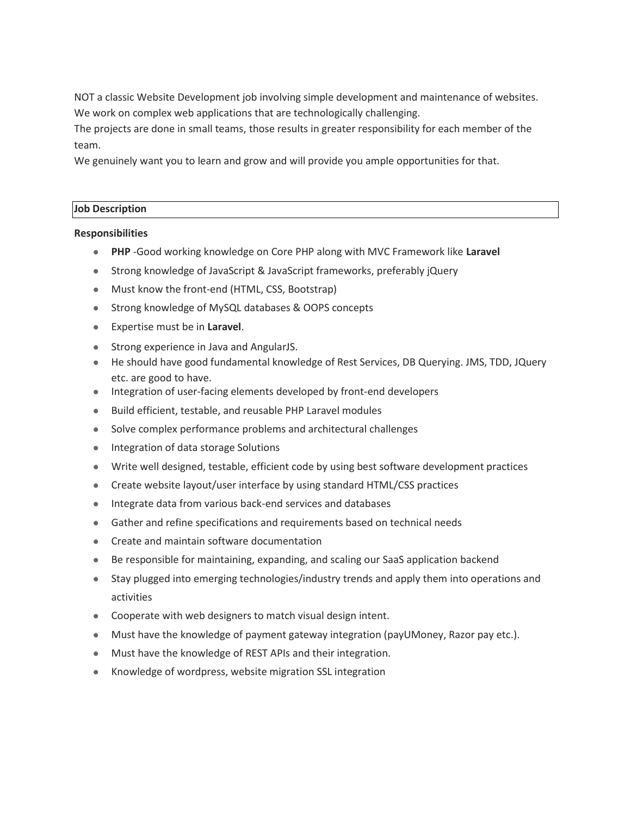NOT a classic Website Development job involving simple development and maintenance of websites. We work on complex web applications that are technologically challenging.

The projects are done in small teams, those results in greater responsibility for each member of the team.

We genuinely want you to learn and grow and will provide you ample opportunities for that.

## **Job Description**

# **Responsibilities**

- **PHP** -Good working knowledge on Core PHP along with MVC Framework like **Laravel**
- Strong knowledge of JavaScript & JavaScript frameworks, preferably jQuery
- Must know the front-end (HTML, CSS, Bootstrap)
- Strong knowledge of MySQL databases & OOPS concepts
- Expertise must be in **Laravel**.
- Strong experience in Java and AngularJS.
- He should have good fundamental knowledge of Rest Services, DB Querying. JMS, TDD, JQuery etc. are good to have.
- Integration of user-facing elements developed by front-end developers
- Build efficient, testable, and reusable PHP Laravel modules
- Solve complex performance problems and architectural challenges
- Integration of data storage Solutions
- Write well designed, testable, efficient code by using best software development practices
- Create website layout/user interface by using standard HTML/CSS practices
- Integrate data from various back-end services and databases
- Gather and refine specifications and requirements based on technical needs
- Create and maintain software documentation
- Be responsible for maintaining, expanding, and scaling our SaaS application backend
- Stay plugged into emerging technologies/industry trends and apply them into operations and activities
- Cooperate with web designers to match visual design intent.
- Must have the knowledge of payment gateway integration (payUMoney, Razor pay etc.).
- Must have the knowledge of REST APIs and their integration.
- Knowledge of wordpress, website migration SSL integration